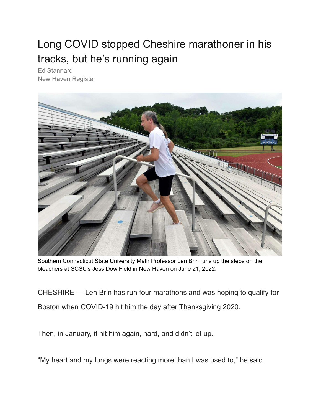## Long COVID stopped Cheshire marathoner in his tracks, but he's running again

[Ed Stannard](https://www.nhregister.com/author/ed-stannard/) [New Haven Register](https://www.nhregister.com/author/ed-stannard/)



Southern Connecticut State University Math Professor Len Brin runs up the steps on the bleachers at SCSU's Jess Dow Field in New Haven on June 21, 2022.

CHESHIRE — Len Brin has run four marathons and was hoping to qualify for Boston when COVID-19 hit him the day after Thanksgiving 2020.

Then, in January, it hit him again, hard, and didn't let up.

"My heart and my lungs were reacting more than I was used to," he said.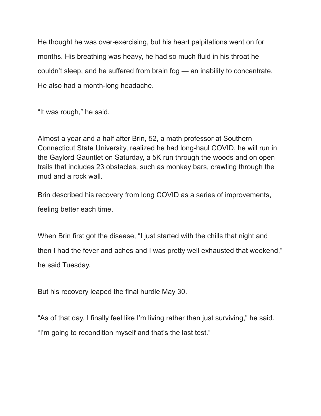He thought he was over-exercising, but his heart palpitations went on for months. His breathing was heavy, he had so much fluid in his throat he couldn't sleep, and he suffered from brain fog — an inability to concentrate. He also had a month-long headache.

"It was rough," he said.

Almost a year and a half after Brin, 52, a math professor at Southern Connecticut State University, realized he had long-haul COVID, he will run in the [Gaylord Gauntlet](https://www.gaylord.org/Patients-Families/About/News/News-List/registration-open-for-2022-gaylord-gauntlet-5k-trail-and-obstacle-run) on Saturday, a 5K run through the woods and on open trails that includes 23 obstacles, such as monkey bars, crawling through the mud and a rock wall.

Brin described his recovery from long COVID as a series of improvements, feeling better each time.

When Brin first got the disease, "I just started with the chills that night and then I had the fever and aches and I was pretty well exhausted that weekend," he said Tuesday.

But his recovery leaped the final hurdle May 30.

"As of that day, I finally feel like I'm living rather than just surviving," he said. "I'm going to recondition myself and that's the last test."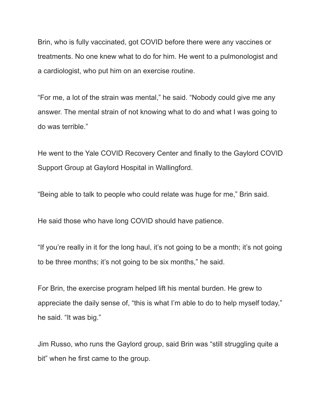Brin, who is fully vaccinated, got COVID before there were any vaccines or treatments. No one knew what to do for him. He went to a pulmonologist and a cardiologist, who put him on an exercise routine.

"For me, a lot of the strain was mental," he said. "Nobody could give me any answer. The mental strain of not knowing what to do and what I was going to do was terrible."

He went to the Yale COVID Recovery Center and finally to the Gaylord COVID Support Group at Gaylord Hospital in Wallingford.

"Being able to talk to people who could relate was huge for me," Brin said.

He said those who have long COVID should have patience.

"If you're really in it for the long haul, it's not going to be a month; it's not going to be three months; it's not going to be six months," he said.

For Brin, the exercise program helped lift his mental burden. He grew to appreciate the daily sense of, "this is what I'm able to do to help myself today," he said. "It was big."

Jim Russo, who runs the Gaylord group, said Brin was "still struggling quite a bit" when he first came to the group.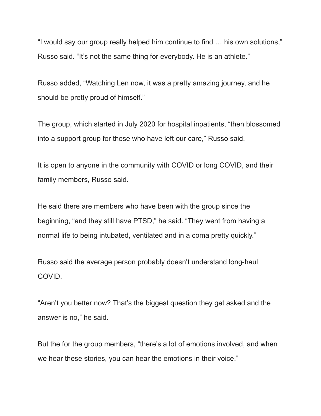"I would say our group really helped him continue to find … his own solutions," Russo said. "It's not the same thing for everybody. He is an athlete."

Russo added, "Watching Len now, it was a pretty amazing journey, and he should be pretty proud of himself."

The group, which started in July 2020 for hospital inpatients, "then blossomed into a support group for those who have left our care," Russo said.

It is open to anyone in the community with COVID or long COVID, and their family members, Russo said.

He said there are members who have been with the group since the beginning, "and they still have PTSD," he said. "They went from having a normal life to being intubated, ventilated and in a coma pretty quickly."

Russo said the average person probably doesn't understand long-haul COVID.

"Aren't you better now? That's the biggest question they get asked and the answer is no," he said.

But the for the group members, "there's a lot of emotions involved, and when we hear these stories, you can hear the emotions in their voice."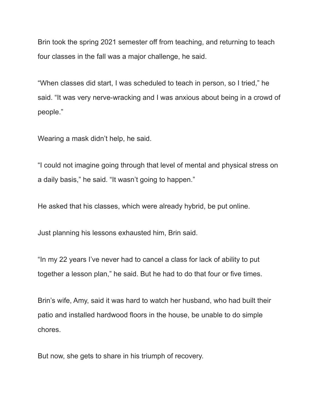Brin took the spring 2021 semester off from teaching, and returning to teach four classes in the fall was a major challenge, he said.

"When classes did start, I was scheduled to teach in person, so I tried," he said. "It was very nerve-wracking and I was anxious about being in a crowd of people."

Wearing a mask didn't help, he said.

"I could not imagine going through that level of mental and physical stress on a daily basis," he said. "It wasn't going to happen."

He asked that his classes, which were already hybrid, be put online.

Just planning his lessons exhausted him, Brin said.

"In my 22 years I've never had to cancel a class for lack of ability to put together a lesson plan," he said. But he had to do that four or five times.

Brin's wife, Amy, said it was hard to watch her husband, who had built their patio and installed hardwood floors in the house, be unable to do simple chores.

But now, she gets to share in his triumph of recovery.